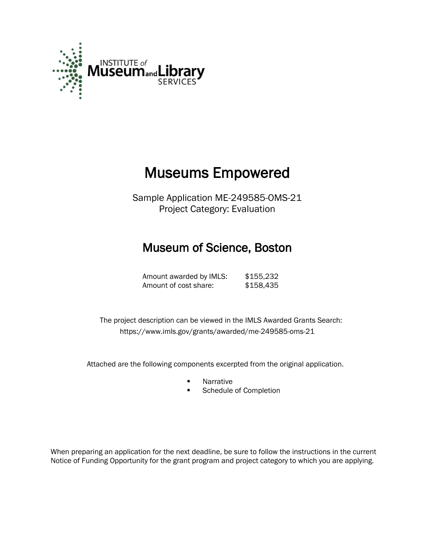

# Museums Empowered

Sample Application ME-249585-OMS-21 Project Category: Evaluation

## Museum of Science, Boston

Amount awarded by IMLS: \$155,232 Amount of cost share: \$158,435

 The project description can be viewed in the IMLS Awarded Grants Search: <https://www.imls.gov/grants/awarded/me-249585-oms-21>

Attached are the following components excerpted from the original application.

- **Narrative**
- **Schedule of Completion**

When preparing an application for the next deadline, be sure to follow the instructions in the current Notice of Funding Opportunity for the grant program and project category to which you are applying.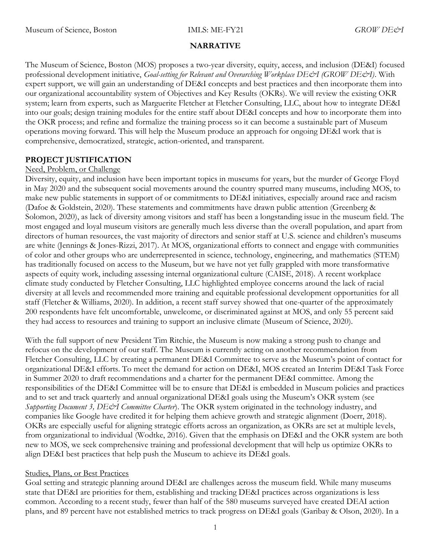#### NARRATIVE

The Museum of Science, Boston (MOS) proposes a two-year diversity, equity, access, and inclusion (DE&I) focused professional development initiative, Goal-setting for Relevant and Overarching Workplace DE&I (GROW DE&I). With expert support, we will gain an understanding of DE&I concepts and best practices and then incorporate them into our organizational accountability system of Objectives and Key Results (OKRs). We will review the existing OKR system; learn from experts, such as Marguerite Fletcher at Fletcher Consulting, LLC, about how to integrate DE&I into our goals; design training modules for the entire staff about DE&I concepts and how to incorporate them into the OKR process; and refine and formalize the training process so it can become a sustainable part of Museum operations moving forward. This will help the Museum produce an approach for ongoing DE&I work that is comprehensive, democratized, strategic, action-oriented, and transparent.

### PROJECT JUSTIFICATION

#### Need, Problem, or Challenge

Diversity, equity, and inclusion have been important topics in museums for years, but the murder of George Floyd in May 2020 and the subsequent social movements around the country spurred many museums, including MOS, to make new public statements in support of or commitments to DE&I initiatives, especially around race and racism (Dafoe & Goldstein, 2020). These statements and commitments have drawn public attention (Greenberg & Solomon, 2020), as lack of diversity among visitors and staff has been a longstanding issue in the museum field. The most engaged and loyal museum visitors are generally much less diverse than the overall population, and apart from directors of human resources, the vast majority of directors and senior staff at U.S. science and children's museums are white (Jennings & Jones-Rizzi, 2017). At MOS, organizational efforts to connect and engage with communities of color and other groups who are underrepresented in science, technology, engineering, and mathematics (STEM) has traditionally focused on access to the Museum, but we have not yet fully grappled with more transformative aspects of equity work, including assessing internal organizational culture (CAISE, 2018). A recent workplace climate study conducted by Fletcher Consulting, LLC highlighted employee concerns around the lack of racial diversity at all levels and recommended more training and equitable professional development opportunities for all staff (Fletcher & Williams, 2020). In addition, a recent staff survey showed that one-quarter of the approximately 200 respondents have felt uncomfortable, unwelcome, or discriminated against at MOS, and only 55 percent said they had access to resources and training to support an inclusive climate (Museum of Science, 2020).

With the full support of new President Tim Ritchie, the Museum is now making a strong push to change and refocus on the development of our staff. The Museum is currently acting on another recommendation from Fletcher Consulting, LLC by creating a permanent DE&I Committee to serve as the Museum's point of contact for organizational DE&I efforts. To meet the demand for action on DE&I, MOS created an Interim DE&I Task Force in Summer 2020 to draft recommendations and a charter for the permanent DE&I committee. Among the responsibilities of the DE&I Committee will be to ensure that DE&I is embedded in Museum policies and practices and to set and track quarterly and annual organizational DE&I goals using the Museum's OKR system (see Supporting Document 3, DE&I Committee Charter). The OKR system originated in the technology industry, and companies like Google have credited it for helping them achieve growth and strategic alignment (Doerr, 2018). OKRs are especially useful for aligning strategic efforts across an organization, as OKRs are set at multiple levels, from organizational to individual (Wodtke, 2016). Given that the emphasis on DE&I and the OKR system are both new to MOS, we seek comprehensive training and professional development that will help us optimize OKRs to align DE&I best practices that help push the Museum to achieve its DE&I goals.

### Studies, Plans, or Best Practices

Goal setting and strategic planning around DE&I are challenges across the museum field. While many museums state that DE&I are priorities for them, establishing and tracking DE&I practices across organizations is less common. According to a recent study, fewer than half of the 580 museums surveyed have created DEAI action plans, and 89 percent have not established metrics to track progress on DE&I goals (Garibay & Olson, 2020). In a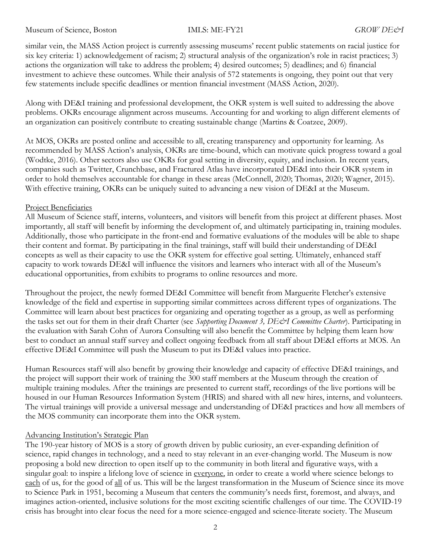similar vein, the MASS Action project is currently assessing museums' recent public statements on racial justice for six key criteria: 1) acknowledgement of racism; 2) structural analysis of the organization's role in racist practices; 3) actions the organization will take to address the problem; 4) desired outcomes; 5) deadlines; and 6) financial investment to achieve these outcomes. While their analysis of 572 statements is ongoing, they point out that very few statements include specific deadlines or mention financial investment (MASS Action, 2020).

Along with DE&I training and professional development, the OKR system is well suited to addressing the above problems. OKRs encourage alignment across museums. Accounting for and working to align different elements of an organization can positively contribute to creating sustainable change (Martins & Coatzee, 2009).

At MOS, OKRs are posted online and accessible to all, creating transparency and opportunity for learning. As recommended by MASS Action's analysis, OKRs are time-bound, which can motivate quick progress toward a goal (Wodtke, 2016). Other sectors also use OKRs for goal setting in diversity, equity, and inclusion. In recent years, companies such as Twitter, Crunchbase, and Fractured Atlas have incorporated DE&I into their OKR system in order to hold themselves accountable for change in these areas (McConnell, 2020; Thomas, 2020; Wagner, 2015). With effective training, OKRs can be uniquely suited to advancing a new vision of DE&I at the Museum.

#### Project Beneficiaries

All Museum of Science staff, interns, volunteers, and visitors will benefit from this project at different phases. Most importantly, all staff will benefit by informing the development of, and ultimately participating in, training modules. Additionally, those who participate in the front-end and formative evaluations of the modules will be able to shape their content and format. By participating in the final trainings, staff will build their understanding of DE&I concepts as well as their capacity to use the OKR system for effective goal setting. Ultimately, enhanced staff capacity to work towards DE&I will influence the visitors and learners who interact with all of the Museum's educational opportunities, from exhibits to programs to online resources and more.

Throughout the project, the newly formed DE&I Committee will benefit from Marguerite Fletcher's extensive knowledge of the field and expertise in supporting similar committees across different types of organizations. The Committee will learn about best practices for organizing and operating together as a group, as well as performing the tasks set out for them in their draft Charter (see Supporting Document 3, DE&I Committee Charter). Participating in the evaluation with Sarah Cohn of Aurora Consulting will also benefit the Committee by helping them learn how best to conduct an annual staff survey and collect ongoing feedback from all staff about DE&I efforts at MOS. An effective DE&I Committee will push the Museum to put its DE&I values into practice.

Human Resources staff will also benefit by growing their knowledge and capacity of effective DE&I trainings, and the project will support their work of training the 300 staff members at the Museum through the creation of multiple training modules. After the trainings are presented to current staff, recordings of the live portions will be housed in our Human Resources Information System (HRIS) and shared with all new hires, interns, and volunteers. The virtual trainings will provide a universal message and understanding of DE&I practices and how all members of the MOS community can incorporate them into the OKR system.

#### Advancing Institution's Strategic Plan

The 190-year history of MOS is a story of growth driven by public curiosity, an ever-expanding definition of science, rapid changes in technology, and a need to stay relevant in an ever-changing world. The Museum is now proposing a bold new direction to open itself up to the community in both literal and figurative ways, with a singular goal: to inspire a lifelong love of science in everyone, in order to create a world where science belongs to each of us, for the good of all of us. This will be the largest transformation in the Museum of Science since its move to Science Park in 1951, becoming a Museum that centers the community's needs first, foremost, and always, and imagines action-oriented, inclusive solutions for the most exciting scientific challenges of our time. The COVID-19 crisis has brought into clear focus the need for a more science-engaged and science-literate society. The Museum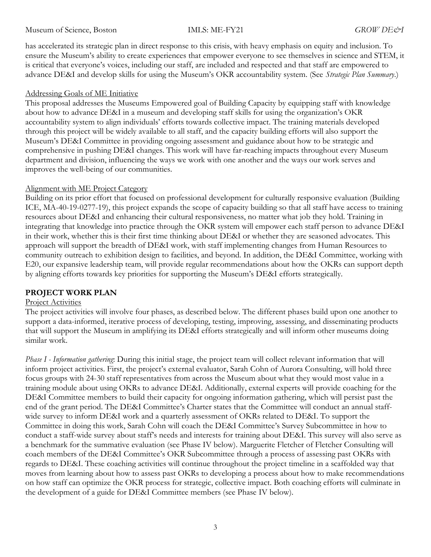has accelerated its strategic plan in direct response to this crisis, with heavy emphasis on equity and inclusion. To ensure the Museum's ability to create experiences that empower everyone to see themselves in science and STEM, it is critical that everyone's voices, including our staff, are included and respected and that staff are empowered to advance DE&I and develop skills for using the Museum's OKR accountability system. (See Strategic Plan Summary.)

### Addressing Goals of ME Initiative

This proposal addresses the Museums Empowered goal of Building Capacity by equipping staff with knowledge about how to advance DE&I in a museum and developing staff skills for using the organization's OKR accountability system to align individuals' efforts towards collective impact. The training materials developed through this project will be widely available to all staff, and the capacity building efforts will also support the Museum's DE&I Committee in providing ongoing assessment and guidance about how to be strategic and comprehensive in pushing DE&I changes. This work will have far-reaching impacts throughout every Museum department and division, influencing the ways we work with one another and the ways our work serves and improves the well-being of our communities.

### Alignment with ME Project Category

Building on its prior effort that focused on professional development for culturally responsive evaluation (Building ICE, MA-40-19-0277-19), this project expands the scope of capacity building so that all staff have access to training resources about DE&I and enhancing their cultural responsiveness, no matter what job they hold. Training in integrating that knowledge into practice through the OKR system will empower each staff person to advance DE&I in their work, whether this is their first time thinking about DE&I or whether they are seasoned advocates. This approach will support the breadth of DE&I work, with staff implementing changes from Human Resources to community outreach to exhibition design to facilities, and beyond. In addition, the DE&I Committee, working with E20, our expansive leadership team, will provide regular recommendations about how the OKRs can support depth by aligning efforts towards key priorities for supporting the Museum's DE&I efforts strategically.

### PROJECT WORK PLAN

#### Project Activities

The project activities will involve four phases, as described below. The different phases build upon one another to support a data-informed, iterative process of developing, testing, improving, assessing, and disseminating products that will support the Museum in amplifying its DE&I efforts strategically and will inform other museums doing similar work.

Phase I - Information gathering: During this initial stage, the project team will collect relevant information that will inform project activities. First, the project's external evaluator, Sarah Cohn of Aurora Consulting, will hold three focus groups with 24-30 staff representatives from across the Museum about what they would most value in a training module about using OKRs to advance DE&I. Additionally, external experts will provide coaching for the DE&I Committee members to build their capacity for ongoing information gathering, which will persist past the end of the grant period. The DE&I Committee's Charter states that the Committee will conduct an annual staffwide survey to inform DE&I work and a quarterly assessment of OKRs related to DE&I. To support the Committee in doing this work, Sarah Cohn will coach the DE&I Committee's Survey Subcommittee in how to conduct a staff-wide survey about staff's needs and interests for training about DE&I. This survey will also serve as a benchmark for the summative evaluation (see Phase IV below). Marguerite Fletcher of Fletcher Consulting will coach members of the DE&I Committee's OKR Subcommittee through a process of assessing past OKRs with regards to DE&I. These coaching activities will continue throughout the project timeline in a scaffolded way that moves from learning about how to assess past OKRs to developing a process about how to make recommendations on how staff can optimize the OKR process for strategic, collective impact. Both coaching efforts will culminate in the development of a guide for DE&I Committee members (see Phase IV below).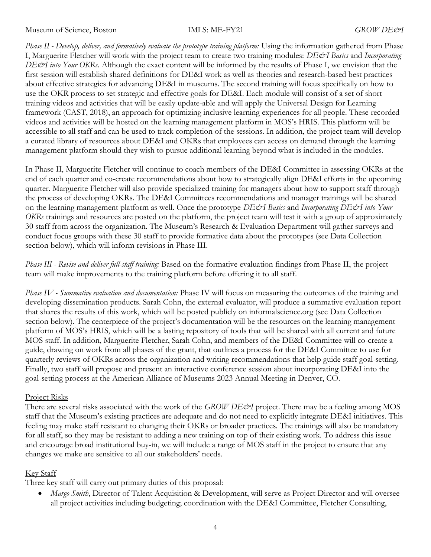Phase II - Develop, deliver, and formatively evaluate the prototype training platform: Using the information gathered from Phase I, Marguerite Fletcher will work with the project team to create two training modules: DE&I Basics and Incorporating DE&I into Your OKRs. Although the exact content will be informed by the results of Phase I, we envision that the first session will establish shared definitions for DE&I work as well as theories and research-based best practices about effective strategies for advancing DE&I in museums. The second training will focus specifically on how to use the OKR process to set strategic and effective goals for DE&I. Each module will consist of a set of short training videos and activities that will be easily update-able and will apply the Universal Design for Learning framework (CAST, 2018), an approach for optimizing inclusive learning experiences for all people. These recorded videos and activities will be hosted on the learning management platform in MOS's HRIS. This platform will be accessible to all staff and can be used to track completion of the sessions. In addition, the project team will develop a curated library of resources about DE&I and OKRs that employees can access on demand through the learning management platform should they wish to pursue additional learning beyond what is included in the modules.

In Phase II, Marguerite Fletcher will continue to coach members of the DE&I Committee in assessing OKRs at the end of each quarter and co-create recommendations about how to strategically align DE&I efforts in the upcoming quarter. Marguerite Fletcher will also provide specialized training for managers about how to support staff through the process of developing OKRs. The DE&I Committees recommendations and manager trainings will be shared on the learning management platform as well. Once the prototype DE&I Basics and Incorporating DE&I into Your OKRs trainings and resources are posted on the platform, the project team will test it with a group of approximately 30 staff from across the organization. The Museum's Research & Evaluation Department will gather surveys and conduct focus groups with these 30 staff to provide formative data about the prototypes (see Data Collection section below), which will inform revisions in Phase III.

Phase III - Revise and deliver full-staff training: Based on the formative evaluation findings from Phase II, the project team will make improvements to the training platform before offering it to all staff.

Phase IV - Summative evaluation and documentation: Phase IV will focus on measuring the outcomes of the training and developing dissemination products. Sarah Cohn, the external evaluator, will produce a summative evaluation report that shares the results of this work, which will be posted publicly on informalscience.org (see Data Collection section below). The centerpiece of the project's documentation will be the resources on the learning management platform of MOS's HRIS, which will be a lasting repository of tools that will be shared with all current and future MOS staff. In addition, Marguerite Fletcher, Sarah Cohn, and members of the DE&I Committee will co-create a guide, drawing on work from all phases of the grant, that outlines a process for the DE&I Committee to use for quarterly reviews of OKRs across the organization and writing recommendations that help guide staff goal-setting. Finally, two staff will propose and present an interactive conference session about incorporating DE&I into the goal-setting process at the American Alliance of Museums 2023 Annual Meeting in Denver, CO.

### Project Risks

There are several risks associated with the work of the GROW DE&I project. There may be a feeling among MOS staff that the Museum's existing practices are adequate and do not need to explicitly integrate DE&I initiatives. This feeling may make staff resistant to changing their OKRs or broader practices. The trainings will also be mandatory for all staff, so they may be resistant to adding a new training on top of their existing work. To address this issue and encourage broad institutional buy-in, we will include a range of MOS staff in the project to ensure that any changes we make are sensitive to all our stakeholders' needs.

### Key Staff

Three key staff will carry out primary duties of this proposal:

• Margo Smith, Director of Talent Acquisition & Development, will serve as Project Director and will oversee all project activities including budgeting; coordination with the DE&I Committee, Fletcher Consulting,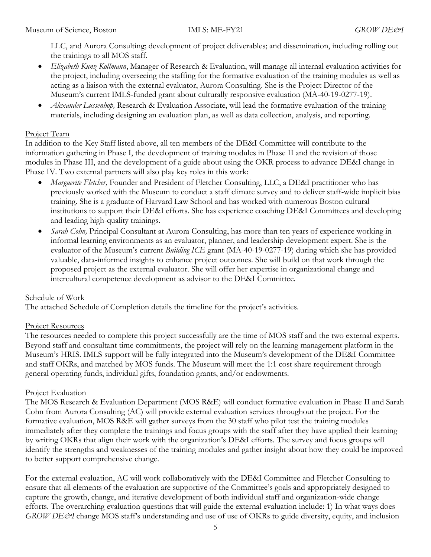LLC, and Aurora Consulting; development of project deliverables; and dissemination, including rolling out the trainings to all MOS staff.

- Elizabeth Kunz Kollmann, Manager of Research & Evaluation, will manage all internal evaluation activities for the project, including overseeing the staffing for the formative evaluation of the training modules as well as acting as a liaison with the external evaluator, Aurora Consulting. She is the Project Director of the Museum's current IMLS-funded grant about culturally responsive evaluation (MA-40-19-0277-19).
- Alexander Lussenhop, Research & Evaluation Associate, will lead the formative evaluation of the training materials, including designing an evaluation plan, as well as data collection, analysis, and reporting.

### Project Team

In addition to the Key Staff listed above, all ten members of the DE&I Committee will contribute to the information gathering in Phase I, the development of training modules in Phase II and the revision of those modules in Phase III, and the development of a guide about using the OKR process to advance DE&I change in Phase IV. Two external partners will also play key roles in this work:

- Marguerite Fletcher, Founder and President of Fletcher Consulting, LLC, a DE&I practitioner who has previously worked with the Museum to conduct a staff climate survey and to deliver staff-wide implicit bias training. She is a graduate of Harvard Law School and has worked with numerous Boston cultural institutions to support their DE&I efforts. She has experience coaching DE&I Committees and developing and leading high-quality trainings.
- Sarah Cohn, Principal Consultant at Aurora Consulting, has more than ten years of experience working in informal learning environments as an evaluator, planner, and leadership development expert. She is the evaluator of the Museum's current Building ICE grant (MA-40-19-0277-19) during which she has provided valuable, data-informed insights to enhance project outcomes. She will build on that work through the proposed project as the external evaluator. She will offer her expertise in organizational change and intercultural competence development as advisor to the DE&I Committee.

### Schedule of Work

The attached Schedule of Completion details the timeline for the project's activities.

#### Project Resources

The resources needed to complete this project successfully are the time of MOS staff and the two external experts. Beyond staff and consultant time commitments, the project will rely on the learning management platform in the Museum's HRIS. IMLS support will be fully integrated into the Museum's development of the DE&I Committee and staff OKRs, and matched by MOS funds. The Museum will meet the 1:1 cost share requirement through general operating funds, individual gifts, foundation grants, and/or endowments.

### Project Evaluation

The MOS Research & Evaluation Department (MOS R&E) will conduct formative evaluation in Phase II and Sarah Cohn from Aurora Consulting (AC) will provide external evaluation services throughout the project. For the formative evaluation, MOS R&E will gather surveys from the 30 staff who pilot test the training modules immediately after they complete the trainings and focus groups with the staff after they have applied their learning by writing OKRs that align their work with the organization's DE&I efforts. The survey and focus groups will identify the strengths and weaknesses of the training modules and gather insight about how they could be improved to better support comprehensive change.

For the external evaluation, AC will work collaboratively with the DE&I Committee and Fletcher Consulting to ensure that all elements of the evaluation are supportive of the Committee's goals and appropriately designed to capture the growth, change, and iterative development of both individual staff and organization-wide change efforts. The overarching evaluation questions that will guide the external evaluation include: 1) In what ways does GROW DE&I change MOS staff's understanding and use of use of OKRs to guide diversity, equity, and inclusion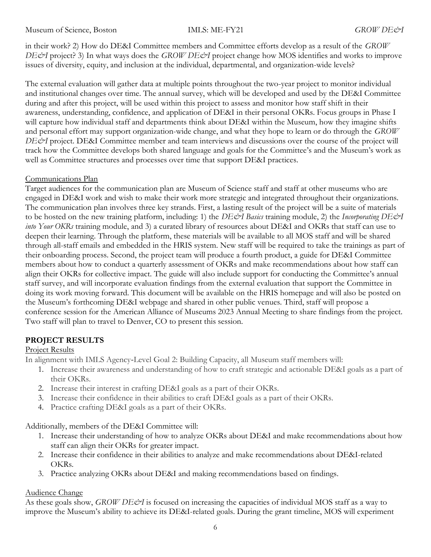in their work? 2) How do DE&I Committee members and Committee efforts develop as a result of the GROW DE&I project? 3) In what ways does the GROW DE&I project change how MOS identifies and works to improve issues of diversity, equity, and inclusion at the individual, departmental, and organization-wide levels?

The external evaluation will gather data at multiple points throughout the two-year project to monitor individual and institutional changes over time. The annual survey, which will be developed and used by the DE&I Committee during and after this project, will be used within this project to assess and monitor how staff shift in their awareness, understanding, confidence, and application of DE&I in their personal OKRs. Focus groups in Phase I will capture how individual staff and departments think about DE&I within the Museum, how they imagine shifts and personal effort may support organization-wide change, and what they hope to learn or do through the GROW DE&I project. DE&I Committee member and team interviews and discussions over the course of the project will track how the Committee develops both shared language and goals for the Committee's and the Museum's work as well as Committee structures and processes over time that support DE&I practices.

### Communications Plan

Target audiences for the communication plan are Museum of Science staff and staff at other museums who are engaged in DE&I work and wish to make their work more strategic and integrated throughout their organizations. The communication plan involves three key strands. First, a lasting result of the project will be a suite of materials to be hosted on the new training platform, including: 1) the DE&I Basics training module, 2) the Incorporating DE&I into Your OKRs training module, and 3) a curated library of resources about DE&I and OKRs that staff can use to deepen their learning. Through the platform, these materials will be available to all MOS staff and will be shared through all-staff emails and embedded in the HRIS system. New staff will be required to take the trainings as part of their onboarding process. Second, the project team will produce a fourth product, a guide for DE&I Committee members about how to conduct a quarterly assessment of OKRs and make recommendations about how staff can align their OKRs for collective impact. The guide will also include support for conducting the Committee's annual staff survey, and will incorporate evaluation findings from the external evaluation that support the Committee in doing its work moving forward. This document will be available on the HRIS homepage and will also be posted on the Museum's forthcoming DE&I webpage and shared in other public venues. Third, staff will propose a conference session for the American Alliance of Museums 2023 Annual Meeting to share findings from the project. Two staff will plan to travel to Denver, CO to present this session.

### PROJECT RESULTS

### Project Results

In alignment with IMLS Agency‐Level Goal 2: Building Capacity, all Museum staff members will:

- 1. Increase their awareness and understanding of how to craft strategic and actionable DE&I goals as a part of their OKRs.
- 2. Increase their interest in crafting DE&I goals as a part of their OKRs.
- 3. Increase their confidence in their abilities to craft DE&I goals as a part of their OKRs.
- 4. Practice crafting DE&I goals as a part of their OKRs.

Additionally, members of the DE&I Committee will:

- 1. Increase their understanding of how to analyze OKRs about DE&I and make recommendations about how staff can align their OKRs for greater impact.
- 2. Increase their confidence in their abilities to analyze and make recommendations about DE&I-related OKRs.
- 3. Practice analyzing OKRs about DE&I and making recommendations based on findings.

### Audience Change

As these goals show,  $GROW$  DE $\acute{\textless}I$  is focused on increasing the capacities of individual MOS staff as a way to improve the Museum's ability to achieve its DE&I-related goals. During the grant timeline, MOS will experiment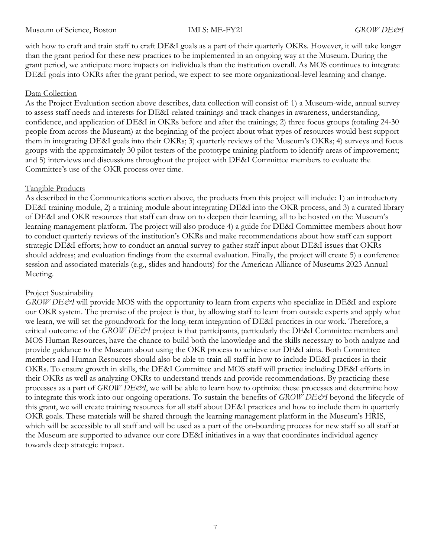with how to craft and train staff to craft DE&I goals as a part of their quarterly OKRs. However, it will take longer than the grant period for these new practices to be implemented in an ongoing way at the Museum. During the grant period, we anticipate more impacts on individuals than the institution overall. As MOS continues to integrate DE&I goals into OKRs after the grant period, we expect to see more organizational-level learning and change.

#### Data Collection

As the Project Evaluation section above describes, data collection will consist of: 1) a Museum-wide, annual survey to assess staff needs and interests for DE&I-related trainings and track changes in awareness, understanding, confidence, and application of DE&I in OKRs before and after the trainings; 2) three focus groups (totaling 24-30 people from across the Museum) at the beginning of the project about what types of resources would best support them in integrating DE&I goals into their OKRs; 3) quarterly reviews of the Museum's OKRs; 4) surveys and focus groups with the approximately 30 pilot testers of the prototype training platform to identify areas of improvement; and 5) interviews and discussions throughout the project with DE&I Committee members to evaluate the Committee's use of the OKR process over time.

#### Tangible Products

As described in the Communications section above, the products from this project will include: 1) an introductory DE&I training module, 2) a training module about integrating DE&I into the OKR process, and 3) a curated library of DE&I and OKR resources that staff can draw on to deepen their learning, all to be hosted on the Museum's learning management platform. The project will also produce 4) a guide for DE&I Committee members about how to conduct quarterly reviews of the institution's OKRs and make recommendations about how staff can support strategic DE&I efforts; how to conduct an annual survey to gather staff input about DE&I issues that OKRs should address; and evaluation findings from the external evaluation. Finally, the project will create 5) a conference session and associated materials (e.g., slides and handouts) for the American Alliance of Museums 2023 Annual Meeting.

#### Project Sustainability

GROW DE&I will provide MOS with the opportunity to learn from experts who specialize in DE&I and explore our OKR system. The premise of the project is that, by allowing staff to learn from outside experts and apply what we learn, we will set the groundwork for the long-term integration of DE&I practices in our work. Therefore, a critical outcome of the GROW DE&I project is that participants, particularly the DE&I Committee members and MOS Human Resources, have the chance to build both the knowledge and the skills necessary to both analyze and provide guidance to the Museum about using the OKR process to achieve our DE&I aims. Both Committee members and Human Resources should also be able to train all staff in how to include DE&I practices in their OKRs. To ensure growth in skills, the DE&I Committee and MOS staff will practice including DE&I efforts in their OKRs as well as analyzing OKRs to understand trends and provide recommendations. By practicing these processes as a part of GROW DE&I, we will be able to learn how to optimize these processes and determine how to integrate this work into our ongoing operations. To sustain the benefits of GROW DE&I beyond the lifecycle of this grant, we will create training resources for all staff about DE&I practices and how to include them in quarterly OKR goals. These materials will be shared through the learning management platform in the Museum's HRIS, which will be accessible to all staff and will be used as a part of the on-boarding process for new staff so all staff at the Museum are supported to advance our core DE&I initiatives in a way that coordinates individual agency towards deep strategic impact.